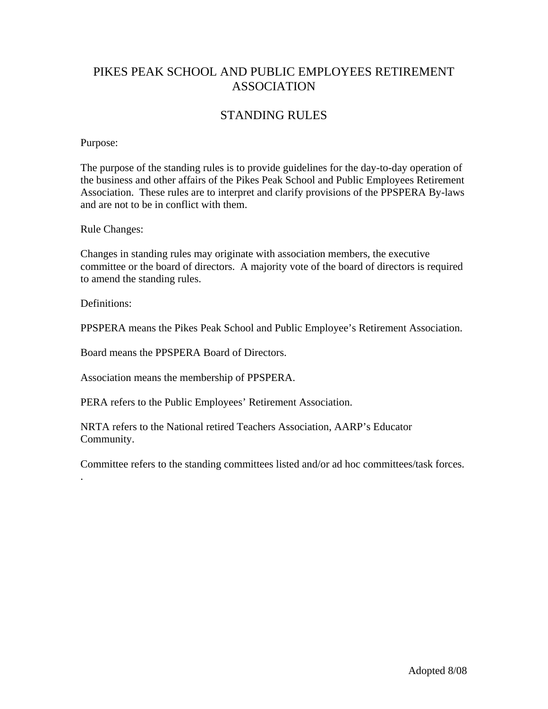# PIKES PEAK SCHOOL AND PUBLIC EMPLOYEES RETIREMENT ASSOCIATION

# STANDING RULES

#### Purpose:

The purpose of the standing rules is to provide guidelines for the day-to-day operation of the business and other affairs of the Pikes Peak School and Public Employees Retirement Association. These rules are to interpret and clarify provisions of the PPSPERA By-laws and are not to be in conflict with them.

Rule Changes:

Changes in standing rules may originate with association members, the executive committee or the board of directors. A majority vote of the board of directors is required to amend the standing rules.

Definitions<sup>.</sup>

.

PPSPERA means the Pikes Peak School and Public Employee's Retirement Association.

Board means the PPSPERA Board of Directors.

Association means the membership of PPSPERA.

PERA refers to the Public Employees' Retirement Association.

NRTA refers to the National retired Teachers Association, AARP's Educator Community.

Committee refers to the standing committees listed and/or ad hoc committees/task forces.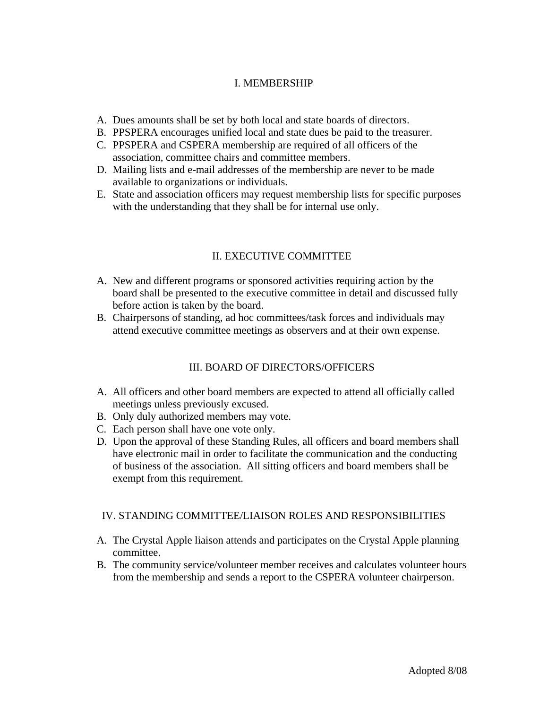#### I. MEMBERSHIP

- A. Dues amounts shall be set by both local and state boards of directors.
- B. PPSPERA encourages unified local and state dues be paid to the treasurer.
- C. PPSPERA and CSPERA membership are required of all officers of the association, committee chairs and committee members.
- D. Mailing lists and e-mail addresses of the membership are never to be made available to organizations or individuals.
- E. State and association officers may request membership lists for specific purposes with the understanding that they shall be for internal use only.

## II. EXECUTIVE COMMITTEE

- A. New and different programs or sponsored activities requiring action by the board shall be presented to the executive committee in detail and discussed fully before action is taken by the board.
- B. Chairpersons of standing, ad hoc committees/task forces and individuals may attend executive committee meetings as observers and at their own expense.

## III. BOARD OF DIRECTORS/OFFICERS

- A. All officers and other board members are expected to attend all officially called meetings unless previously excused.
- B. Only duly authorized members may vote.
- C. Each person shall have one vote only.
- D. Upon the approval of these Standing Rules, all officers and board members shall have electronic mail in order to facilitate the communication and the conducting of business of the association. All sitting officers and board members shall be exempt from this requirement.

#### IV. STANDING COMMITTEE/LIAISON ROLES AND RESPONSIBILITIES

- A. The Crystal Apple liaison attends and participates on the Crystal Apple planning committee.
- B. The community service/volunteer member receives and calculates volunteer hours from the membership and sends a report to the CSPERA volunteer chairperson.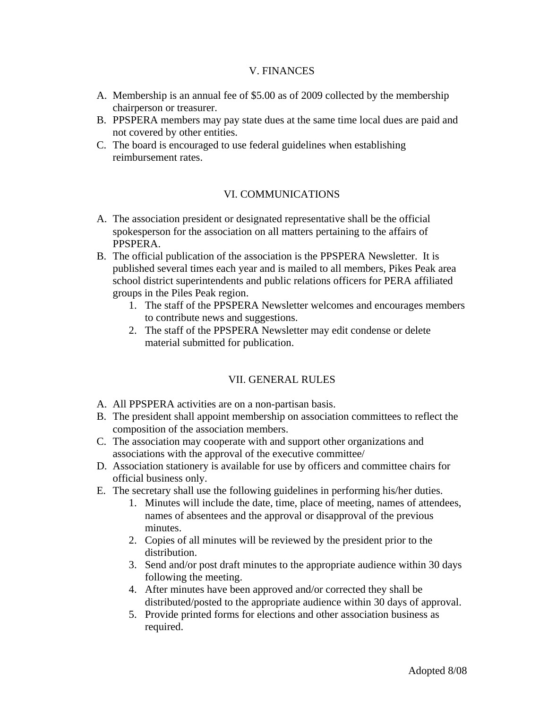#### V. FINANCES

- A. Membership is an annual fee of \$5.00 as of 2009 collected by the membership chairperson or treasurer.
- B. PPSPERA members may pay state dues at the same time local dues are paid and not covered by other entities.
- C. The board is encouraged to use federal guidelines when establishing reimbursement rates.

## VI. COMMUNICATIONS

- A. The association president or designated representative shall be the official spokesperson for the association on all matters pertaining to the affairs of PPSPERA.
- B. The official publication of the association is the PPSPERA Newsletter. It is published several times each year and is mailed to all members, Pikes Peak area school district superintendents and public relations officers for PERA affiliated groups in the Piles Peak region.
	- 1. The staff of the PPSPERA Newsletter welcomes and encourages members to contribute news and suggestions.
	- 2. The staff of the PPSPERA Newsletter may edit condense or delete material submitted for publication.

## VII. GENERAL RULES

- A. All PPSPERA activities are on a non-partisan basis.
- B. The president shall appoint membership on association committees to reflect the composition of the association members.
- C. The association may cooperate with and support other organizations and associations with the approval of the executive committee/
- D. Association stationery is available for use by officers and committee chairs for official business only.
- E. The secretary shall use the following guidelines in performing his/her duties.
	- 1. Minutes will include the date, time, place of meeting, names of attendees, names of absentees and the approval or disapproval of the previous minutes.
	- 2. Copies of all minutes will be reviewed by the president prior to the distribution.
	- 3. Send and/or post draft minutes to the appropriate audience within 30 days following the meeting.
	- 4. After minutes have been approved and/or corrected they shall be distributed/posted to the appropriate audience within 30 days of approval.
	- 5. Provide printed forms for elections and other association business as required.